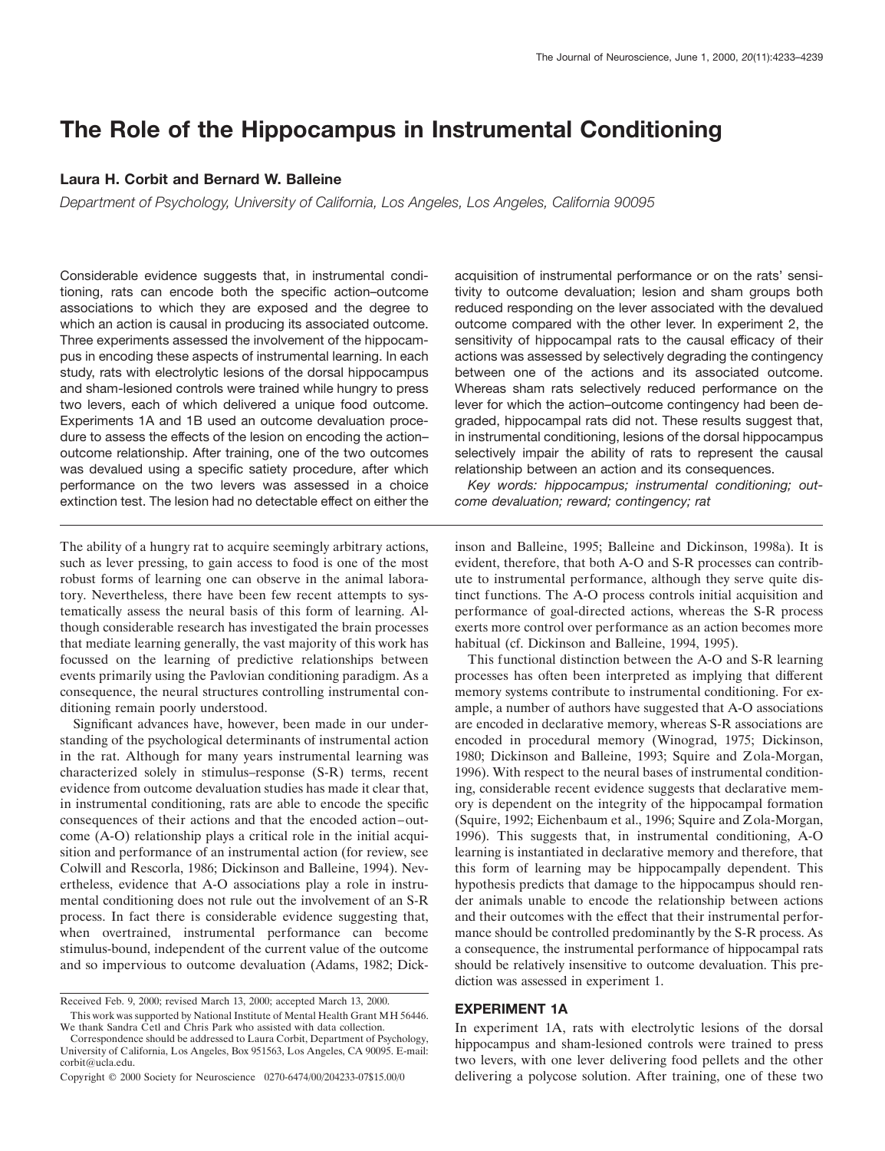# **The Role of the Hippocampus in Instrumental Conditioning**

### **Laura H. Corbit and Bernard W. Balleine**

*Department of Psychology, University of California, Los Angeles, Los Angeles, California 90095*

Considerable evidence suggests that, in instrumental conditioning, rats can encode both the specific action–outcome associations to which they are exposed and the degree to which an action is causal in producing its associated outcome. Three experiments assessed the involvement of the hippocampus in encoding these aspects of instrumental learning. In each study, rats with electrolytic lesions of the dorsal hippocampus and sham-lesioned controls were trained while hungry to press two levers, each of which delivered a unique food outcome. Experiments 1A and 1B used an outcome devaluation procedure to assess the effects of the lesion on encoding the action– outcome relationship. After training, one of the two outcomes was devalued using a specific satiety procedure, after which performance on the two levers was assessed in a choice extinction test. The lesion had no detectable effect on either the

The ability of a hungry rat to acquire seemingly arbitrary actions, such as lever pressing, to gain access to food is one of the most robust forms of learning one can observe in the animal laboratory. Nevertheless, there have been few recent attempts to systematically assess the neural basis of this form of learning. Although considerable research has investigated the brain processes that mediate learning generally, the vast majority of this work has focussed on the learning of predictive relationships between events primarily using the Pavlovian conditioning paradigm. As a consequence, the neural structures controlling instrumental conditioning remain poorly understood.

Significant advances have, however, been made in our understanding of the psychological determinants of instrumental action in the rat. Although for many years instrumental learning was characterized solely in stimulus–response (S-R) terms, recent evidence from outcome devaluation studies has made it clear that, in instrumental conditioning, rats are able to encode the specific consequences of their actions and that the encoded action–outcome (A-O) relationship plays a critical role in the initial acquisition and performance of an instrumental action (for review, see Colwill and Rescorla, 1986; Dickinson and Balleine, 1994). Nevertheless, evidence that A-O associations play a role in instrumental conditioning does not rule out the involvement of an S-R process. In fact there is considerable evidence suggesting that, when overtrained, instrumental performance can become stimulus-bound, independent of the current value of the outcome and so impervious to outcome devaluation (Adams, 1982; Dickacquisition of instrumental performance or on the rats' sensitivity to outcome devaluation; lesion and sham groups both reduced responding on the lever associated with the devalued outcome compared with the other lever. In experiment 2, the sensitivity of hippocampal rats to the causal efficacy of their actions was assessed by selectively degrading the contingency between one of the actions and its associated outcome. Whereas sham rats selectively reduced performance on the lever for which the action–outcome contingency had been degraded, hippocampal rats did not. These results suggest that, in instrumental conditioning, lesions of the dorsal hippocampus selectively impair the ability of rats to represent the causal relationship between an action and its consequences.

*Key words: hippocampus; instrumental conditioning; outcome devaluation; reward; contingency; rat*

inson and Balleine, 1995; Balleine and Dickinson, 1998a). It is evident, therefore, that both A-O and S-R processes can contribute to instrumental performance, although they serve quite distinct functions. The A-O process controls initial acquisition and performance of goal-directed actions, whereas the S-R process exerts more control over performance as an action becomes more habitual (cf. Dickinson and Balleine, 1994, 1995).

This functional distinction between the A-O and S-R learning processes has often been interpreted as implying that different memory systems contribute to instrumental conditioning. For example, a number of authors have suggested that A-O associations are encoded in declarative memory, whereas S-R associations are encoded in procedural memory (Winograd, 1975; Dickinson, 1980; Dickinson and Balleine, 1993; Squire and Zola-Morgan, 1996). With respect to the neural bases of instrumental conditioning, considerable recent evidence suggests that declarative memory is dependent on the integrity of the hippocampal formation (Squire, 1992; Eichenbaum et al., 1996; Squire and Zola-Morgan, 1996). This suggests that, in instrumental conditioning, A-O learning is instantiated in declarative memory and therefore, that this form of learning may be hippocampally dependent. This hypothesis predicts that damage to the hippocampus should render animals unable to encode the relationship between actions and their outcomes with the effect that their instrumental performance should be controlled predominantly by the S-R process. As a consequence, the instrumental performance of hippocampal rats should be relatively insensitive to outcome devaluation. This prediction was assessed in experiment 1.

### **EXPERIMENT 1A**

In experiment 1A, rats with electrolytic lesions of the dorsal hippocampus and sham-lesioned controls were trained to press two levers, with one lever delivering food pellets and the other delivering a polycose solution. After training, one of these two

Received Feb. 9, 2000; revised March 13, 2000; accepted March 13, 2000.

This work was supported by National Institute of Mental Health Grant MH 56446. We thank Sandra Cetl and Chris Park who assisted with data collection.

Correspondence should be addressed to Laura Corbit, Department of Psychology, University of California, Los Angeles, Box 951563, Los Angeles, CA 90095. E-mail: corbit@ucla.edu.

Copyright © 2000 Society for Neuroscience 0270-6474/00/204233-07\$15.00/0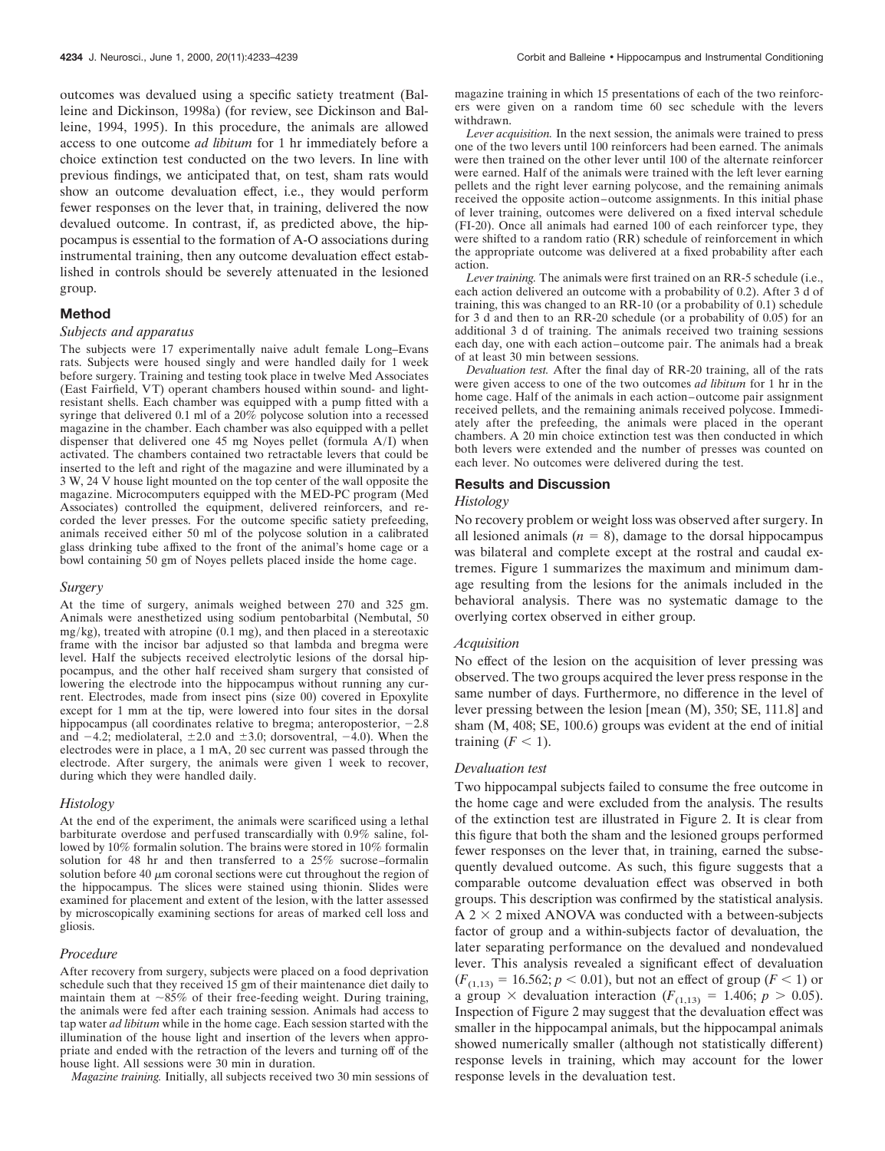outcomes was devalued using a specific satiety treatment (Balleine and Dickinson, 1998a) (for review, see Dickinson and Balleine, 1994, 1995). In this procedure, the animals are allowed access to one outcome *ad libitum* for 1 hr immediately before a choice extinction test conducted on the two levers. In line with previous findings, we anticipated that, on test, sham rats would show an outcome devaluation effect, i.e., they would perform fewer responses on the lever that, in training, delivered the now devalued outcome. In contrast, if, as predicted above, the hippocampus is essential to the formation of A-O associations during instrumental training, then any outcome devaluation effect established in controls should be severely attenuated in the lesioned group.

### **Method**

#### *Subjects and apparatus*

The subjects were 17 experimentally naive adult female Long–Evans rats. Subjects were housed singly and were handled daily for 1 week before surgery. Training and testing took place in twelve Med Associates (East Fairfield, VT) operant chambers housed within sound- and lightresistant shells. Each chamber was equipped with a pump fitted with a syringe that delivered 0.1 ml of a 20% polycose solution into a recessed magazine in the chamber. Each chamber was also equipped with a pellet dispenser that delivered one 45 mg Noyes pellet (formula A/I) when activated. The chambers contained two retractable levers that could be inserted to the left and right of the magazine and were illuminated by a 3 W, 24 V house light mounted on the top center of the wall opposite the magazine. Microcomputers equipped with the MED-PC program (Med Associates) controlled the equipment, delivered reinforcers, and recorded the lever presses. For the outcome specific satiety prefeeding, animals received either 50 ml of the polycose solution in a calibrated glass drinking tube affixed to the front of the animal's home cage or a bowl containing 50 gm of Noyes pellets placed inside the home cage.

#### *Surgery*

At the time of surgery, animals weighed between 270 and 325 gm. Animals were anesthetized using sodium pentobarbital (Nembutal, 50  $mg/kg$ ), treated with atropine (0.1 mg), and then placed in a stereotaxic frame with the incisor bar adjusted so that lambda and bregma were level. Half the subjects received electrolytic lesions of the dorsal hippocampus, and the other half received sham surgery that consisted of lowering the electrode into the hippocampus without running any current. Electrodes, made from insect pins (size 00) covered in Epoxylite except for 1 mm at the tip, were lowered into four sites in the dorsal hippocampus (all coordinates relative to bregma; anteroposterior,  $-2.8$ and  $-4.2$ ; mediolateral,  $\pm 2.0$  and  $\pm 3.0$ ; dorsoventral,  $-4.0$ ). When the electrodes were in place, a 1 mA, 20 sec current was passed through the electrode. After surgery, the animals were given 1 week to recover, during which they were handled daily.

### *Histology*

At the end of the experiment, the animals were scarificed using a lethal barbiturate overdose and perfused transcardially with 0.9% saline, followed by 10% formalin solution. The brains were stored in 10% formalin solution for 48 hr and then transferred to a 25% sucrose–formalin solution before 40  $\mu$ m coronal sections were cut throughout the region of the hippocampus. The slices were stained using thionin. Slides were examined for placement and extent of the lesion, with the latter assessed by microscopically examining sections for areas of marked cell loss and gliosis.

#### *Procedure*

After recovery from surgery, subjects were placed on a food deprivation schedule such that they received 15 gm of their maintenance diet daily to maintain them at  $\sim85\%$  of their free-feeding weight. During training, the animals were fed after each training session. Animals had access to tap water *ad libitum* while in the home cage. Each session started with the illumination of the house light and insertion of the levers when appropriate and ended with the retraction of the levers and turning off of the house light. All sessions were 30 min in duration.

*Magazine training.* Initially, all subjects received two 30 min sessions of

magazine training in which 15 presentations of each of the two reinforcers were given on a random time 60 sec schedule with the levers withdrawn.

*Lever acquisition.* In the next session, the animals were trained to press one of the two levers until 100 reinforcers had been earned. The animals were then trained on the other lever until 100 of the alternate reinforcer were earned. Half of the animals were trained with the left lever earning pellets and the right lever earning polycose, and the remaining animals received the opposite action–outcome assignments. In this initial phase of lever training, outcomes were delivered on a fixed interval schedule (FI-20). Once all animals had earned 100 of each reinforcer type, they were shifted to a random ratio (RR) schedule of reinforcement in which the appropriate outcome was delivered at a fixed probability after each action.

*Lever training.* The animals were first trained on an RR-5 schedule (i.e., each action delivered an outcome with a probability of 0.2). After 3 d of training, this was changed to an RR-10 (or a probability of 0.1) schedule for 3 d and then to an RR-20 schedule (or a probability of 0.05) for an additional 3 d of training. The animals received two training sessions each day, one with each action–outcome pair. The animals had a break of at least 30 min between sessions.

*Devaluation test.* After the final day of RR-20 training, all of the rats were given access to one of the two outcomes *ad libitum* for 1 hr in the home cage. Half of the animals in each action–outcome pair assignment received pellets, and the remaining animals received polycose. Immediately after the prefeeding, the animals were placed in the operant chambers. A 20 min choice extinction test was then conducted in which both levers were extended and the number of presses was counted on each lever. No outcomes were delivered during the test.

### **Results and Discussion**

### *Histology*

No recovery problem or weight loss was observed after surgery. In all lesioned animals  $(n = 8)$ , damage to the dorsal hippocampus was bilateral and complete except at the rostral and caudal extremes. Figure 1 summarizes the maximum and minimum damage resulting from the lesions for the animals included in the behavioral analysis. There was no systematic damage to the overlying cortex observed in either group.

### *Acquisition*

No effect of the lesion on the acquisition of lever pressing was observed. The two groups acquired the lever press response in the same number of days. Furthermore, no difference in the level of lever pressing between the lesion [mean (M), 350; SE, 111.8] and sham (M, 408; SE, 100.6) groups was evident at the end of initial training  $(F < 1)$ .

#### *Devaluation test*

Two hippocampal subjects failed to consume the free outcome in the home cage and were excluded from the analysis. The results of the extinction test are illustrated in Figure 2. It is clear from this figure that both the sham and the lesioned groups performed fewer responses on the lever that, in training, earned the subsequently devalued outcome. As such, this figure suggests that a comparable outcome devaluation effect was observed in both groups. This description was confirmed by the statistical analysis.  $A$  2  $\times$  2 mixed ANOVA was conducted with a between-subjects factor of group and a within-subjects factor of devaluation, the later separating performance on the devalued and nondevalued lever. This analysis revealed a significant effect of devaluation  $(F_{(1,13)} = 16.562; p < 0.01)$ , but not an effect of group ( $F < 1$ ) or a group  $\times$  devaluation interaction ( $F_{(1,13)} = 1.406$ ;  $p > 0.05$ ). Inspection of Figure 2 may suggest that the devaluation effect was smaller in the hippocampal animals, but the hippocampal animals showed numerically smaller (although not statistically different) response levels in training, which may account for the lower response levels in the devaluation test.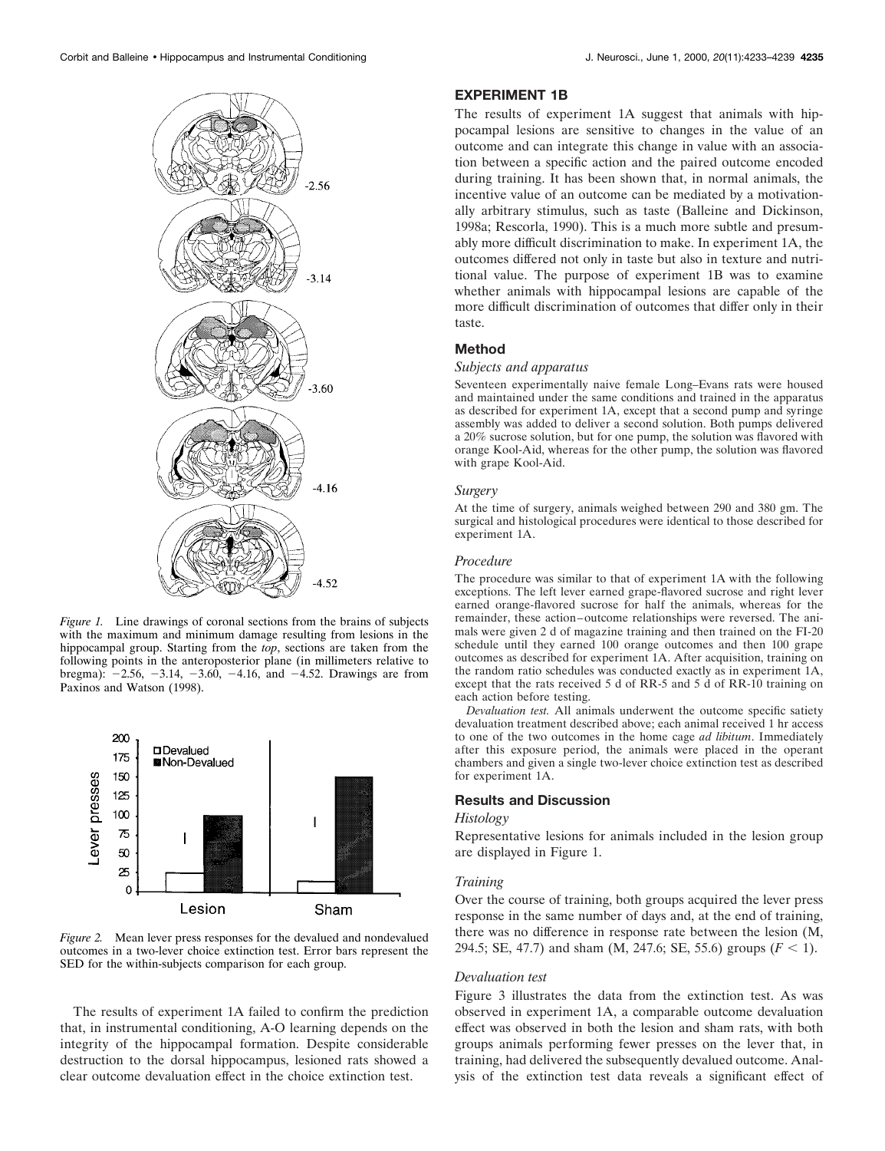

*Figure 1.* Line drawings of coronal sections from the brains of subjects with the maximum and minimum damage resulting from lesions in the hippocampal group. Starting from the *top*, sections are taken from the following points in the anteroposterior plane (in millimeters relative to bregma):  $-2.56$ ,  $-3.14$ ,  $-3.60$ ,  $-4.16$ , and  $-4.52$ . Drawings are from Paxinos and Watson (1998).



*Figure 2.* Mean lever press responses for the devalued and nondevalued outcomes in a two-lever choice extinction test. Error bars represent the SED for the within-subjects comparison for each group.

The results of experiment 1A failed to confirm the prediction that, in instrumental conditioning, A-O learning depends on the integrity of the hippocampal formation. Despite considerable destruction to the dorsal hippocampus, lesioned rats showed a clear outcome devaluation effect in the choice extinction test.

## **EXPERIMENT 1B**

The results of experiment 1A suggest that animals with hippocampal lesions are sensitive to changes in the value of an outcome and can integrate this change in value with an association between a specific action and the paired outcome encoded during training. It has been shown that, in normal animals, the incentive value of an outcome can be mediated by a motivationally arbitrary stimulus, such as taste (Balleine and Dickinson, 1998a; Rescorla, 1990). This is a much more subtle and presumably more difficult discrimination to make. In experiment 1A, the outcomes differed not only in taste but also in texture and nutritional value. The purpose of experiment 1B was to examine whether animals with hippocampal lesions are capable of the more difficult discrimination of outcomes that differ only in their taste.

### **Method**

### *Subjects and apparatus*

Seventeen experimentally naive female Long–Evans rats were housed and maintained under the same conditions and trained in the apparatus as described for experiment 1A, except that a second pump and syringe assembly was added to deliver a second solution. Both pumps delivered a 20% sucrose solution, but for one pump, the solution was flavored with orange Kool-Aid, whereas for the other pump, the solution was flavored with grape Kool-Aid.

### *Surgery*

At the time of surgery, animals weighed between 290 and 380 gm. The surgical and histological procedures were identical to those described for experiment 1A.

### *Procedure*

The procedure was similar to that of experiment 1A with the following exceptions. The left lever earned grape-flavored sucrose and right lever earned orange-flavored sucrose for half the animals, whereas for the remainder, these action–outcome relationships were reversed. The animals were given 2 d of magazine training and then trained on the FI-20 schedule until they earned 100 orange outcomes and then 100 grape outcomes as described for experiment 1A. After acquisition, training on the random ratio schedules was conducted exactly as in experiment 1A, except that the rats received 5 d of RR-5 and 5 d of RR-10 training on each action before testing.

*Devaluation test.* All animals underwent the outcome specific satiety devaluation treatment described above; each animal received 1 hr access to one of the two outcomes in the home cage *ad libitum*. Immediately after this exposure period, the animals were placed in the operant chambers and given a single two-lever choice extinction test as described for experiment 1A.

### **Results and Discussion**

### *Histology*

Representative lesions for animals included in the lesion group are displayed in Figure 1.

#### *Training*

Over the course of training, both groups acquired the lever press response in the same number of days and, at the end of training, there was no difference in response rate between the lesion (M, 294.5; SE, 47.7) and sham  $(M, 247.6; SE, 55.6)$  groups  $(F < 1)$ .

#### *Devaluation test*

Figure 3 illustrates the data from the extinction test. As was observed in experiment 1A, a comparable outcome devaluation effect was observed in both the lesion and sham rats, with both groups animals performing fewer presses on the lever that, in training, had delivered the subsequently devalued outcome. Analysis of the extinction test data reveals a significant effect of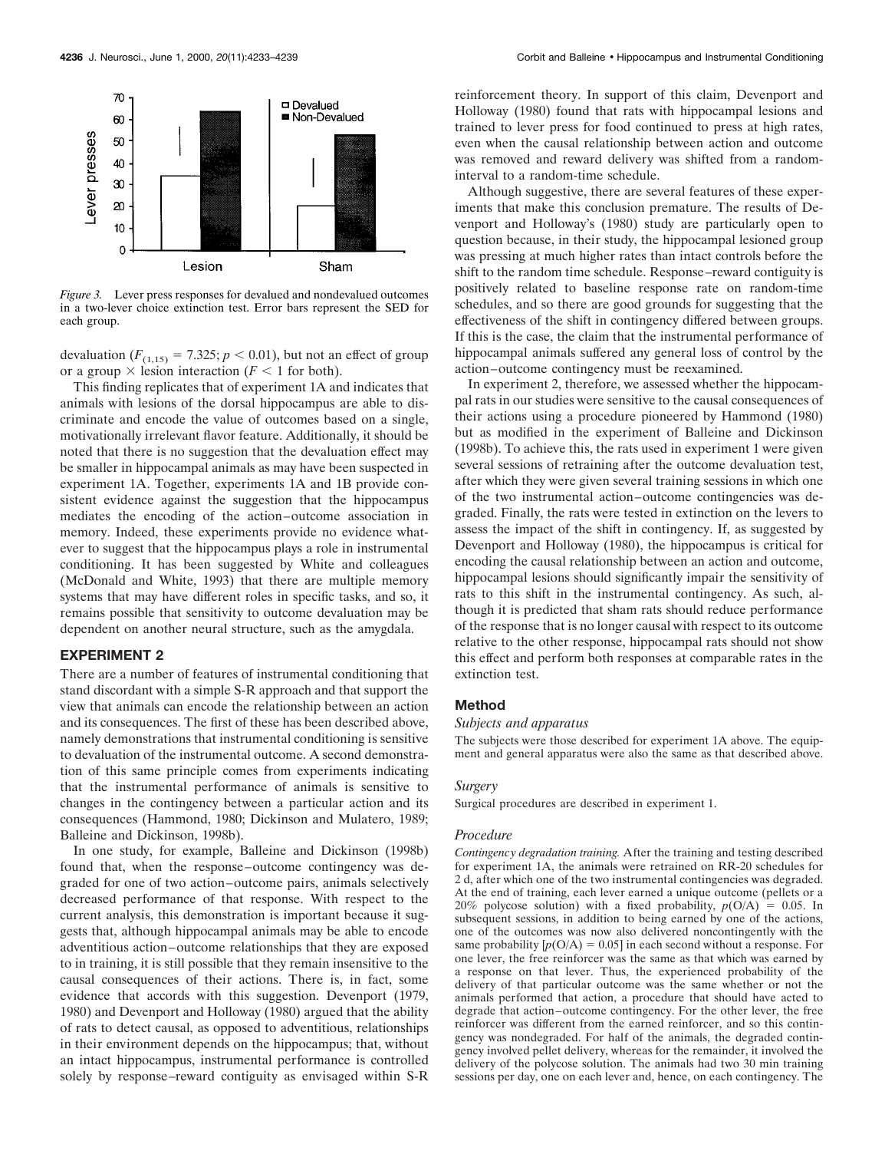

*Figure 3.* Lever press responses for devalued and nondevalued outcomes in a two-lever choice extinction test. Error bars represent the SED for each group.

devaluation  $(F_{(1,15)} = 7.325; p < 0.01)$ , but not an effect of group or a group  $\times$  lesion interaction ( $F < 1$  for both).

This finding replicates that of experiment 1A and indicates that animals with lesions of the dorsal hippocampus are able to discriminate and encode the value of outcomes based on a single, motivationally irrelevant flavor feature. Additionally, it should be noted that there is no suggestion that the devaluation effect may be smaller in hippocampal animals as may have been suspected in experiment 1A. Together, experiments 1A and 1B provide consistent evidence against the suggestion that the hippocampus mediates the encoding of the action–outcome association in memory. Indeed, these experiments provide no evidence whatever to suggest that the hippocampus plays a role in instrumental conditioning. It has been suggested by White and colleagues (McDonald and White, 1993) that there are multiple memory systems that may have different roles in specific tasks, and so, it remains possible that sensitivity to outcome devaluation may be dependent on another neural structure, such as the amygdala.

### **EXPERIMENT 2**

There are a number of features of instrumental conditioning that stand discordant with a simple S-R approach and that support the view that animals can encode the relationship between an action and its consequences. The first of these has been described above, namely demonstrations that instrumental conditioning is sensitive to devaluation of the instrumental outcome. A second demonstration of this same principle comes from experiments indicating that the instrumental performance of animals is sensitive to changes in the contingency between a particular action and its consequences (Hammond, 1980; Dickinson and Mulatero, 1989; Balleine and Dickinson, 1998b).

In one study, for example, Balleine and Dickinson (1998b) found that, when the response–outcome contingency was degraded for one of two action–outcome pairs, animals selectively decreased performance of that response. With respect to the current analysis, this demonstration is important because it suggests that, although hippocampal animals may be able to encode adventitious action–outcome relationships that they are exposed to in training, it is still possible that they remain insensitive to the causal consequences of their actions. There is, in fact, some evidence that accords with this suggestion. Devenport (1979, 1980) and Devenport and Holloway (1980) argued that the ability of rats to detect causal, as opposed to adventitious, relationships in their environment depends on the hippocampus; that, without an intact hippocampus, instrumental performance is controlled solely by response–reward contiguity as envisaged within S-R

reinforcement theory. In support of this claim, Devenport and Holloway (1980) found that rats with hippocampal lesions and trained to lever press for food continued to press at high rates, even when the causal relationship between action and outcome was removed and reward delivery was shifted from a randominterval to a random-time schedule.

Although suggestive, there are several features of these experiments that make this conclusion premature. The results of Devenport and Holloway's (1980) study are particularly open to question because, in their study, the hippocampal lesioned group was pressing at much higher rates than intact controls before the shift to the random time schedule. Response–reward contiguity is positively related to baseline response rate on random-time schedules, and so there are good grounds for suggesting that the effectiveness of the shift in contingency differed between groups. If this is the case, the claim that the instrumental performance of hippocampal animals suffered any general loss of control by the action–outcome contingency must be reexamined.

In experiment 2, therefore, we assessed whether the hippocampal rats in our studies were sensitive to the causal consequences of their actions using a procedure pioneered by Hammond (1980) but as modified in the experiment of Balleine and Dickinson (1998b). To achieve this, the rats used in experiment 1 were given several sessions of retraining after the outcome devaluation test, after which they were given several training sessions in which one of the two instrumental action–outcome contingencies was degraded. Finally, the rats were tested in extinction on the levers to assess the impact of the shift in contingency. If, as suggested by Devenport and Holloway (1980), the hippocampus is critical for encoding the causal relationship between an action and outcome, hippocampal lesions should significantly impair the sensitivity of rats to this shift in the instrumental contingency. As such, although it is predicted that sham rats should reduce performance of the response that is no longer causal with respect to its outcome relative to the other response, hippocampal rats should not show this effect and perform both responses at comparable rates in the extinction test.

### **Method**

### *Subjects and apparatus*

The subjects were those described for experiment 1A above. The equipment and general apparatus were also the same as that described above.

#### *Surgery*

Surgical procedures are described in experiment 1.

#### *Procedure*

*Contingency degradation training.* After the training and testing described for experiment 1A, the animals were retrained on RR-20 schedules for 2 d, after which one of the two instrumental contingencies was degraded. At the end of training, each lever earned a unique outcome (pellets or a 20% polycose solution) with a fixed probability,  $p(O/A) = 0.05$ . In subsequent sessions, in addition to being earned by one of the actions, one of the outcomes was now also delivered noncontingently with the same probability  $[p(O/A) = 0.05]$  in each second without a response. For one lever, the free reinforcer was the same as that which was earned by a response on that lever. Thus, the experienced probability of the delivery of that particular outcome was the same whether or not the animals performed that action, a procedure that should have acted to degrade that action–outcome contingency. For the other lever, the free reinforcer was different from the earned reinforcer, and so this contingency was nondegraded. For half of the animals, the degraded contingency involved pellet delivery, whereas for the remainder, it involved the delivery of the polycose solution. The animals had two 30 min training sessions per day, one on each lever and, hence, on each contingency. The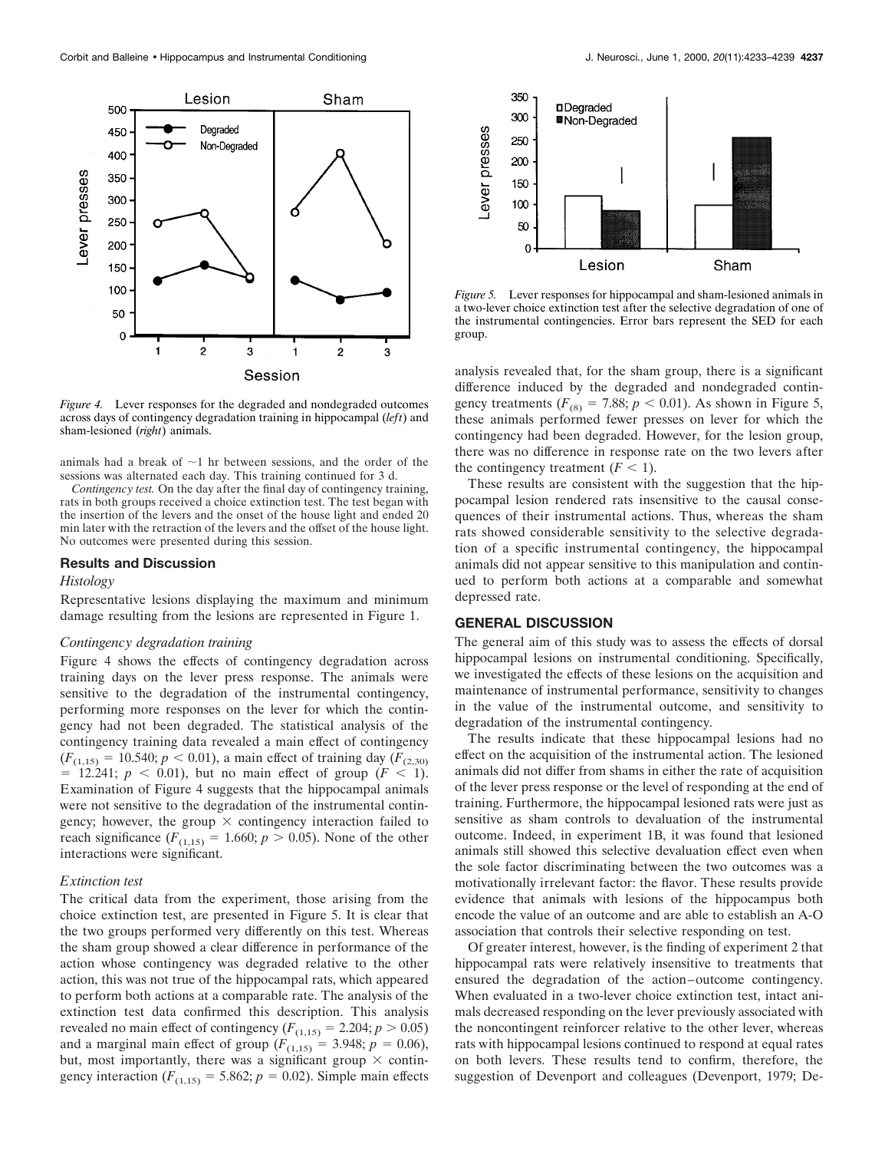

*Figure 4.* Lever responses for the degraded and nondegraded outcomes across days of contingency degradation training in hippocampal (*left*) and sham-lesioned (*right*) animals.

animals had a break of  $\sim$ 1 hr between sessions, and the order of the sessions was alternated each day. This training continued for 3 d.

*Contingency test.* On the day after the final day of contingency training, rats in both groups received a choice extinction test. The test began with the insertion of the levers and the onset of the house light and ended 20 min later with the retraction of the levers and the offset of the house light. No outcomes were presented during this session.

### **Results and Discussion**

### *Histology*

Representative lesions displaying the maximum and minimum damage resulting from the lesions are represented in Figure 1.

### *Contingency degradation training*

Figure 4 shows the effects of contingency degradation across training days on the lever press response. The animals were sensitive to the degradation of the instrumental contingency, performing more responses on the lever for which the contingency had not been degraded. The statistical analysis of the contingency training data revealed a main effect of contingency  $(F_{(1,15)} = 10.540; p < 0.01)$ , a main effect of training day  $(F_{(2,30)}$  $=$  12.241;  $p < 0.01$ ), but no main effect of group ( $F < 1$ ). Examination of Figure 4 suggests that the hippocampal animals were not sensitive to the degradation of the instrumental contingency; however, the group  $\times$  contingency interaction failed to reach significance  $(F_{(1,15)} = 1.660; p > 0.05)$ . None of the other interactions were significant.

#### *Extinction test*

The critical data from the experiment, those arising from the choice extinction test, are presented in Figure 5. It is clear that the two groups performed very differently on this test. Whereas the sham group showed a clear difference in performance of the action whose contingency was degraded relative to the other action, this was not true of the hippocampal rats, which appeared to perform both actions at a comparable rate. The analysis of the extinction test data confirmed this description. This analysis revealed no main effect of contingency ( $F_{(1,15)} = 2.204$ ;  $p > 0.05$ ) and a marginal main effect of group  $(F_{(1,15)} = 3.948; p = 0.06)$ , but, most importantly, there was a significant group  $\times$  contingency interaction  $(F_{(1,15)} = 5.862; p = 0.02)$ . Simple main effects



*Figure 5.* Lever responses for hippocampal and sham-lesioned animals in a two-lever choice extinction test after the selective degradation of one of the instrumental contingencies. Error bars represent the SED for each group.

analysis revealed that, for the sham group, there is a significant difference induced by the degraded and nondegraded contingency treatments ( $F_{(8)} = 7.88$ ;  $p < 0.01$ ). As shown in Figure 5, these animals performed fewer presses on lever for which the contingency had been degraded. However, for the lesion group, there was no difference in response rate on the two levers after the contingency treatment  $(F < 1)$ .

These results are consistent with the suggestion that the hippocampal lesion rendered rats insensitive to the causal consequences of their instrumental actions. Thus, whereas the sham rats showed considerable sensitivity to the selective degradation of a specific instrumental contingency, the hippocampal animals did not appear sensitive to this manipulation and continued to perform both actions at a comparable and somewhat depressed rate.

#### **GENERAL DISCUSSION**

The general aim of this study was to assess the effects of dorsal hippocampal lesions on instrumental conditioning. Specifically, we investigated the effects of these lesions on the acquisition and maintenance of instrumental performance, sensitivity to changes in the value of the instrumental outcome, and sensitivity to degradation of the instrumental contingency.

The results indicate that these hippocampal lesions had no effect on the acquisition of the instrumental action. The lesioned animals did not differ from shams in either the rate of acquisition of the lever press response or the level of responding at the end of training. Furthermore, the hippocampal lesioned rats were just as sensitive as sham controls to devaluation of the instrumental outcome. Indeed, in experiment 1B, it was found that lesioned animals still showed this selective devaluation effect even when the sole factor discriminating between the two outcomes was a motivationally irrelevant factor: the flavor. These results provide evidence that animals with lesions of the hippocampus both encode the value of an outcome and are able to establish an A-O association that controls their selective responding on test.

Of greater interest, however, is the finding of experiment 2 that hippocampal rats were relatively insensitive to treatments that ensured the degradation of the action–outcome contingency. When evaluated in a two-lever choice extinction test, intact animals decreased responding on the lever previously associated with the noncontingent reinforcer relative to the other lever, whereas rats with hippocampal lesions continued to respond at equal rates on both levers. These results tend to confirm, therefore, the suggestion of Devenport and colleagues (Devenport, 1979; De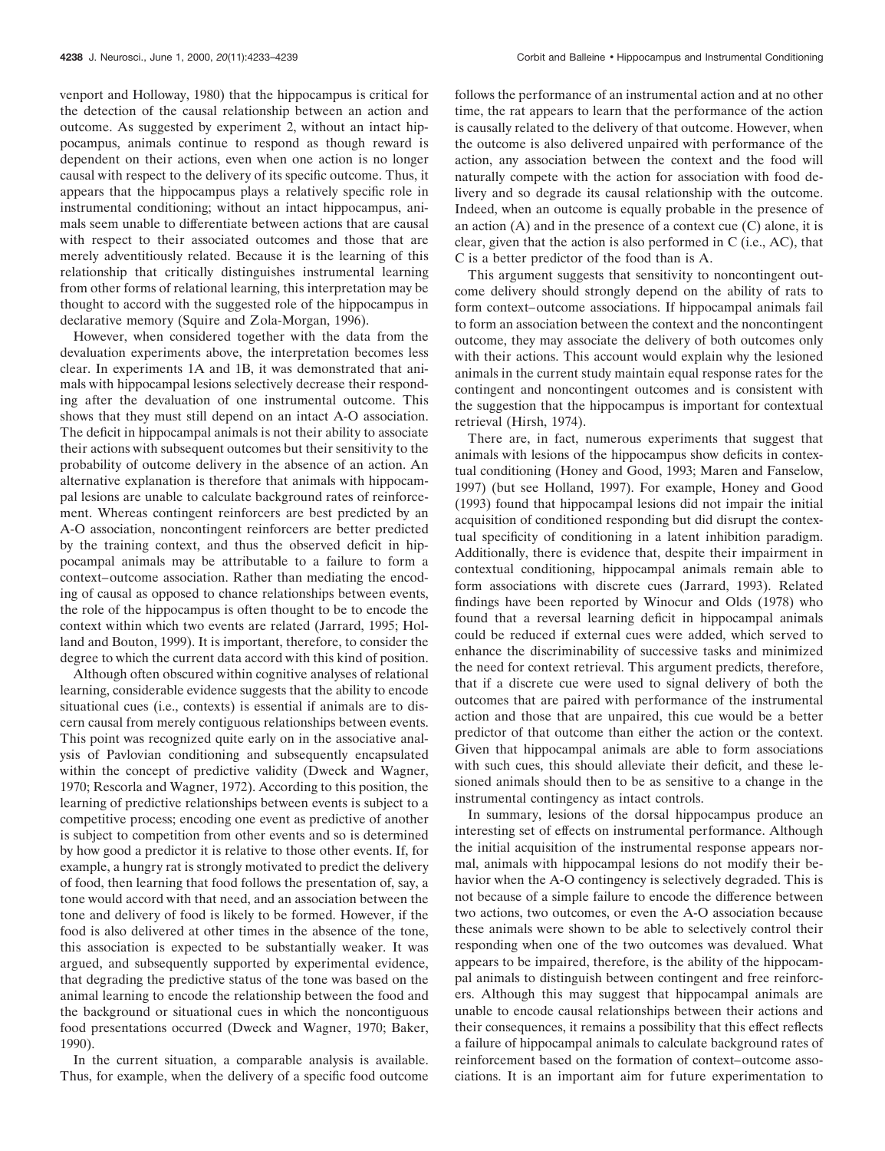venport and Holloway, 1980) that the hippocampus is critical for the detection of the causal relationship between an action and outcome. As suggested by experiment 2, without an intact hippocampus, animals continue to respond as though reward is dependent on their actions, even when one action is no longer causal with respect to the delivery of its specific outcome. Thus, it appears that the hippocampus plays a relatively specific role in instrumental conditioning; without an intact hippocampus, animals seem unable to differentiate between actions that are causal with respect to their associated outcomes and those that are merely adventitiously related. Because it is the learning of this relationship that critically distinguishes instrumental learning from other forms of relational learning, this interpretation may be thought to accord with the suggested role of the hippocampus in declarative memory (Squire and Zola-Morgan, 1996).

However, when considered together with the data from the devaluation experiments above, the interpretation becomes less clear. In experiments 1A and 1B, it was demonstrated that animals with hippocampal lesions selectively decrease their responding after the devaluation of one instrumental outcome. This shows that they must still depend on an intact A-O association. The deficit in hippocampal animals is not their ability to associate their actions with subsequent outcomes but their sensitivity to the probability of outcome delivery in the absence of an action. An alternative explanation is therefore that animals with hippocampal lesions are unable to calculate background rates of reinforcement. Whereas contingent reinforcers are best predicted by an A-O association, noncontingent reinforcers are better predicted by the training context, and thus the observed deficit in hippocampal animals may be attributable to a failure to form a context–outcome association. Rather than mediating the encoding of causal as opposed to chance relationships between events, the role of the hippocampus is often thought to be to encode the context within which two events are related (Jarrard, 1995; Holland and Bouton, 1999). It is important, therefore, to consider the degree to which the current data accord with this kind of position.

Although often obscured within cognitive analyses of relational learning, considerable evidence suggests that the ability to encode situational cues (i.e., contexts) is essential if animals are to discern causal from merely contiguous relationships between events. This point was recognized quite early on in the associative analysis of Pavlovian conditioning and subsequently encapsulated within the concept of predictive validity (Dweck and Wagner, 1970; Rescorla and Wagner, 1972). According to this position, the learning of predictive relationships between events is subject to a competitive process; encoding one event as predictive of another is subject to competition from other events and so is determined by how good a predictor it is relative to those other events. If, for example, a hungry rat is strongly motivated to predict the delivery of food, then learning that food follows the presentation of, say, a tone would accord with that need, and an association between the tone and delivery of food is likely to be formed. However, if the food is also delivered at other times in the absence of the tone, this association is expected to be substantially weaker. It was argued, and subsequently supported by experimental evidence, that degrading the predictive status of the tone was based on the animal learning to encode the relationship between the food and the background or situational cues in which the noncontiguous food presentations occurred (Dweck and Wagner, 1970; Baker, 1990).

In the current situation, a comparable analysis is available. Thus, for example, when the delivery of a specific food outcome follows the performance of an instrumental action and at no other time, the rat appears to learn that the performance of the action is causally related to the delivery of that outcome. However, when the outcome is also delivered unpaired with performance of the action, any association between the context and the food will naturally compete with the action for association with food delivery and so degrade its causal relationship with the outcome. Indeed, when an outcome is equally probable in the presence of an action  $(A)$  and in the presence of a context cue  $(C)$  alone, it is clear, given that the action is also performed in C (i.e., AC), that C is a better predictor of the food than is A.

This argument suggests that sensitivity to noncontingent outcome delivery should strongly depend on the ability of rats to form context–outcome associations. If hippocampal animals fail to form an association between the context and the noncontingent outcome, they may associate the delivery of both outcomes only with their actions. This account would explain why the lesioned animals in the current study maintain equal response rates for the contingent and noncontingent outcomes and is consistent with the suggestion that the hippocampus is important for contextual retrieval (Hirsh, 1974).

There are, in fact, numerous experiments that suggest that animals with lesions of the hippocampus show deficits in contextual conditioning (Honey and Good, 1993; Maren and Fanselow, 1997) (but see Holland, 1997). For example, Honey and Good (1993) found that hippocampal lesions did not impair the initial acquisition of conditioned responding but did disrupt the contextual specificity of conditioning in a latent inhibition paradigm. Additionally, there is evidence that, despite their impairment in contextual conditioning, hippocampal animals remain able to form associations with discrete cues (Jarrard, 1993). Related findings have been reported by Winocur and Olds (1978) who found that a reversal learning deficit in hippocampal animals could be reduced if external cues were added, which served to enhance the discriminability of successive tasks and minimized the need for context retrieval. This argument predicts, therefore, that if a discrete cue were used to signal delivery of both the outcomes that are paired with performance of the instrumental action and those that are unpaired, this cue would be a better predictor of that outcome than either the action or the context. Given that hippocampal animals are able to form associations with such cues, this should alleviate their deficit, and these lesioned animals should then to be as sensitive to a change in the instrumental contingency as intact controls.

In summary, lesions of the dorsal hippocampus produce an interesting set of effects on instrumental performance. Although the initial acquisition of the instrumental response appears normal, animals with hippocampal lesions do not modify their behavior when the A-O contingency is selectively degraded. This is not because of a simple failure to encode the difference between two actions, two outcomes, or even the A-O association because these animals were shown to be able to selectively control their responding when one of the two outcomes was devalued. What appears to be impaired, therefore, is the ability of the hippocampal animals to distinguish between contingent and free reinforcers. Although this may suggest that hippocampal animals are unable to encode causal relationships between their actions and their consequences, it remains a possibility that this effect reflects a failure of hippocampal animals to calculate background rates of reinforcement based on the formation of context–outcome associations. It is an important aim for future experimentation to